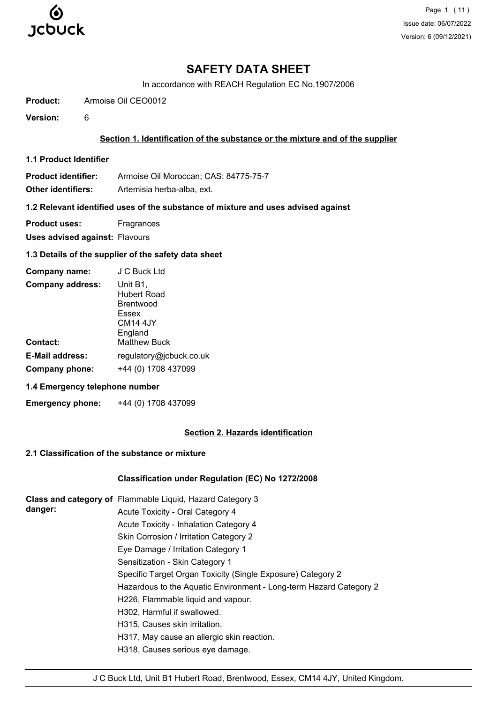

## **SAFETY DATA SHEET**

In accordance with REACH Regulation EC No.1907/2006

**Product:** Armoise Oil CEO0012

**Version:** 6

## **Section 1. Identification of the substance or the mixture and of the supplier**

**1.1 Product Identifier**

**Product identifier:** Armoise Oil Moroccan; CAS: 84775-75-7

**Other identifiers:** Artemisia herba-alba, ext.

## **1.2 Relevant identified uses of the substance of mixture and uses advised against**

**Product uses:** Fragrances

**Uses advised against:** Flavours

## **1.3 Details of the supplier of the safety data sheet**

| Company name:           | J C Buck Ltd                                                         |
|-------------------------|----------------------------------------------------------------------|
| <b>Company address:</b> | Unit B1,<br>Hubert Road<br>Brentwood<br>Essex<br>CM14 4JY<br>England |
| Contact:                | <b>Matthew Buck</b>                                                  |
| <b>E-Mail address:</b>  | regulatory@jcbuck.co.uk                                              |
| Company phone:          | +44 (0) 1708 437099                                                  |

## **1.4 Emergency telephone number**

**Emergency phone:** +44 (0) 1708 437099

## **Section 2. Hazards identification**

## **2.1 Classification of the substance or mixture**

## **Classification under Regulation (EC) No 1272/2008**

| danger: | Class and category of Flammable Liquid, Hazard Category 3          |
|---------|--------------------------------------------------------------------|
|         | Acute Toxicity - Oral Category 4                                   |
|         | Acute Toxicity - Inhalation Category 4                             |
|         | Skin Corrosion / Irritation Category 2                             |
|         | Eye Damage / Irritation Category 1                                 |
|         | Sensitization - Skin Category 1                                    |
|         | Specific Target Organ Toxicity (Single Exposure) Category 2        |
|         | Hazardous to the Aquatic Environment - Long-term Hazard Category 2 |
|         | H226, Flammable liquid and vapour.                                 |
|         | H302, Harmful if swallowed.                                        |
|         | H315, Causes skin irritation.                                      |
|         | H317, May cause an allergic skin reaction.                         |
|         | H318, Causes serious eye damage.                                   |
|         |                                                                    |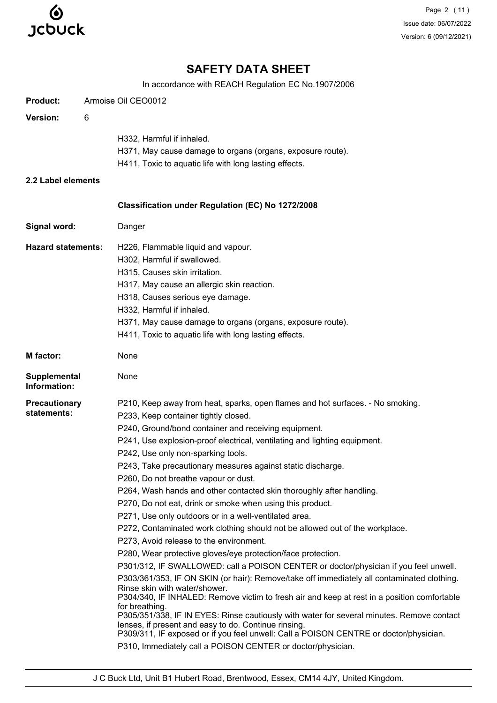

Page 2 (11) Issue date: 06/07/2022 Version: 6 (09/12/2021)

# **SAFETY DATA SHEET**

In accordance with REACH Regulation EC No.1907/2006

| <b>Product:</b>              |   | Armoise Oil CEO0012                                                                                                                                                                                                        |
|------------------------------|---|----------------------------------------------------------------------------------------------------------------------------------------------------------------------------------------------------------------------------|
| <b>Version:</b>              | 6 |                                                                                                                                                                                                                            |
|                              |   | H332, Harmful if inhaled.                                                                                                                                                                                                  |
|                              |   | H371, May cause damage to organs (organs, exposure route).                                                                                                                                                                 |
|                              |   | H411, Toxic to aquatic life with long lasting effects.                                                                                                                                                                     |
| 2.2 Label elements           |   |                                                                                                                                                                                                                            |
|                              |   | Classification under Regulation (EC) No 1272/2008                                                                                                                                                                          |
| Signal word:                 |   | Danger                                                                                                                                                                                                                     |
| <b>Hazard statements:</b>    |   | H226, Flammable liquid and vapour.                                                                                                                                                                                         |
|                              |   | H302, Harmful if swallowed.                                                                                                                                                                                                |
|                              |   | H315, Causes skin irritation.                                                                                                                                                                                              |
|                              |   | H317, May cause an allergic skin reaction.                                                                                                                                                                                 |
|                              |   | H318, Causes serious eye damage.                                                                                                                                                                                           |
|                              |   | H332, Harmful if inhaled.                                                                                                                                                                                                  |
|                              |   | H371, May cause damage to organs (organs, exposure route).                                                                                                                                                                 |
|                              |   | H411, Toxic to aquatic life with long lasting effects.                                                                                                                                                                     |
| <b>M</b> factor:             |   | None                                                                                                                                                                                                                       |
| Supplemental<br>Information: |   | None                                                                                                                                                                                                                       |
| <b>Precautionary</b>         |   | P210, Keep away from heat, sparks, open flames and hot surfaces. - No smoking.                                                                                                                                             |
| statements:                  |   | P233, Keep container tightly closed.                                                                                                                                                                                       |
|                              |   | P240, Ground/bond container and receiving equipment.                                                                                                                                                                       |
|                              |   | P241, Use explosion-proof electrical, ventilating and lighting equipment.                                                                                                                                                  |
|                              |   | P242, Use only non-sparking tools.                                                                                                                                                                                         |
|                              |   | P243, Take precautionary measures against static discharge.                                                                                                                                                                |
|                              |   | P260, Do not breathe vapour or dust.                                                                                                                                                                                       |
|                              |   | P264, Wash hands and other contacted skin thoroughly after handling.                                                                                                                                                       |
|                              |   | P270, Do not eat, drink or smoke when using this product.                                                                                                                                                                  |
|                              |   | P271, Use only outdoors or in a well-ventilated area.                                                                                                                                                                      |
|                              |   | P272, Contaminated work clothing should not be allowed out of the workplace.                                                                                                                                               |
|                              |   | P273, Avoid release to the environment.                                                                                                                                                                                    |
|                              |   | P280, Wear protective gloves/eye protection/face protection.                                                                                                                                                               |
|                              |   | P301/312, IF SWALLOWED: call a POISON CENTER or doctor/physician if you feel unwell.                                                                                                                                       |
|                              |   | P303/361/353, IF ON SKIN (or hair): Remove/take off immediately all contaminated clothing.<br>Rinse skin with water/shower.<br>P304/340, IF INHALED: Remove victim to fresh air and keep at rest in a position comfortable |
|                              |   | for breathing.<br>P305/351/338, IF IN EYES: Rinse cautiously with water for several minutes. Remove contact                                                                                                                |
|                              |   | lenses, if present and easy to do. Continue rinsing.<br>P309/311, IF exposed or if you feel unwell: Call a POISON CENTRE or doctor/physician.                                                                              |
|                              |   | P310, Immediately call a POISON CENTER or doctor/physician.                                                                                                                                                                |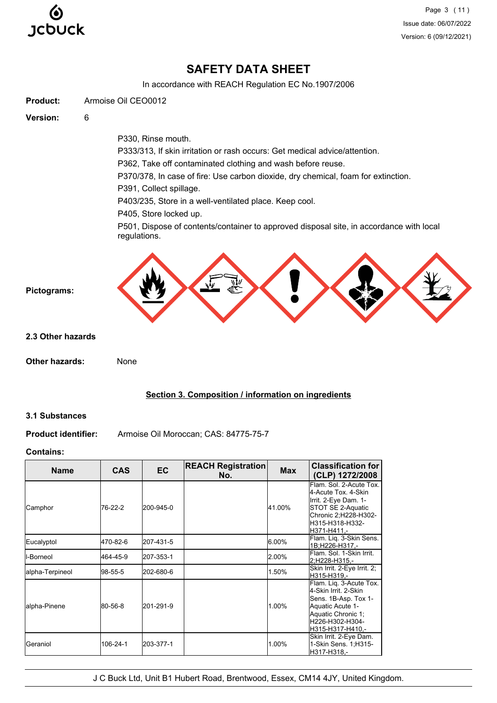

Page 3 (11) Issue date: 06/07/2022 Version: 6 (09/12/2021)

# **SAFETY DATA SHEET**

In accordance with REACH Regulation EC No.1907/2006



#### **Section 3. Composition / information on ingredients**

#### **3.1 Substances**

**Product identifier:** Armoise Oil Moroccan; CAS: 84775-75-7

#### **Contains:**

| <b>Name</b>        | <b>CAS</b> | EC        | <b>REACH Registration</b><br>No. | <b>Max</b> | <b>Classification for</b><br>(CLP) 1272/2008                                                                                                             |
|--------------------|------------|-----------|----------------------------------|------------|----------------------------------------------------------------------------------------------------------------------------------------------------------|
| Camphor            | 76-22-2    | 200-945-0 |                                  | 41.00%     | Flam, Sol. 2-Acute Tox.<br>4-Acute Tox, 4-Skin<br>Irrit. 2-Eye Dam. 1-<br>STOT SE 2-Aquatic<br>Chronic 2;H228-H302-<br>H315-H318-H332-<br>H371-H411.-    |
| Eucalyptol         | 470-82-6   | 207-431-5 |                                  | 6.00%      | Flam. Liq. 3-Skin Sens.<br>1B:H226-H317.-                                                                                                                |
| <b>I</b> I-Borneol | 464-45-9   | 207-353-1 |                                  | 2.00%      | lFlam. Sol. 1-Skin Irrit.<br>2:H228-H315.-                                                                                                               |
| alpha-Terpineol    | 98-55-5    | 202-680-6 |                                  | 1.50%      | Skin Irrit. 2-Eye Irrit. 2;<br>H315-H319.-                                                                                                               |
| lalpha-Pinene      | 80-56-8    | 201-291-9 |                                  | 1.00%      | Flam. Liq. 3-Acute Tox.<br>4-Skin Irrit, 2-Skin<br>Sens. 1B-Asp. Tox 1-<br>Aquatic Acute 1-<br>Aquatic Chronic 1;<br>H226-H302-H304-<br>H315-H317-H410.- |
| Geraniol           | 106-24-1   | 203-377-1 |                                  | 1.00%      | Skin Irrit. 2-Eye Dam.<br>1-Skin Sens. 1; H315-<br>H317-H318.-                                                                                           |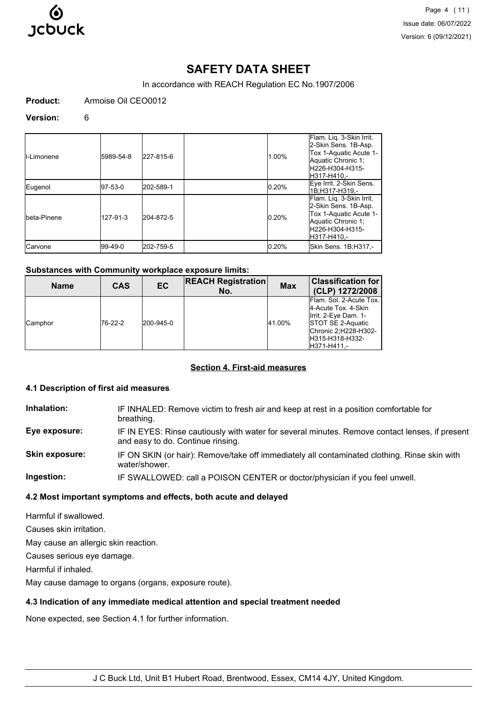

Page 4 (11) Issue date: 06/07/2022 Version: 6 (09/12/2021)

# **SAFETY DATA SHEET**

In accordance with REACH Regulation EC No.1907/2006

**Product:** Armoise Oil CEO0012

#### **Version:** 6

| II-Limonene  | 5989-54-8 | 227-815-6 | 1.00% | Flam. Liq. 3-Skin Irrit.<br>2-Skin Sens. 1B-Asp.<br>Tox 1-Aquatic Acute 1-<br>Aquatic Chronic 1:<br>H226-H304-H315-<br>IH317-H410.-  |
|--------------|-----------|-----------|-------|--------------------------------------------------------------------------------------------------------------------------------------|
| Eugenol      | 197-53-0  | 202-589-1 | 0.20% | Eye Irrit. 2-Skin Sens.<br>1B:H317-H319.-                                                                                            |
| Ibeta-Pinene | 127-91-3  | 204-872-5 | 0.20% | Flam. Liq. 3-Skin Irrit.<br>2-Skin Sens. 1B-Asp.<br>Tox 1-Aquatic Acute 1-<br>Aquatic Chronic 1;<br>lH226-H304-H315-<br>lH317-H410.- |
| ICarvone     | l99-49-0  | 202-759-5 | 0.20% | Skin Sens. 1B;H317,-                                                                                                                 |

#### **Substances with Community workplace exposure limits:**

| <b>Name</b>    | <b>CAS</b> | EC        | <b>REACH Registration</b><br>No. | <b>Max</b> | <b>Classification for</b><br>(CLP) 1272/2008                                                                                                                  |
|----------------|------------|-----------|----------------------------------|------------|---------------------------------------------------------------------------------------------------------------------------------------------------------------|
| <b>Camphor</b> | 76-22-2    | 200-945-0 |                                  | 41.00%     | Flam. Sol. 2-Acute Tox.<br>4-Acute Tox, 4-Skin<br>Irrit. 2-Eye Dam. 1-<br><b>STOT SE 2-Aquatic</b><br>Chronic 2, H228-H302-<br>H315-H318-H332-<br>H371-H411.- |

#### **Section 4. First-aid measures**

#### **4.1 Description of first aid measures**

**Inhalation:** IF INHALED: Remove victim to fresh air and keep at rest in a position comfortable for breathing.

**Eye exposure:** IF IN EYES: Rinse cautiously with water for several minutes. Remove contact lenses, if present and easy to do. Continue rinsing.

**Skin exposure:** IF ON SKIN (or hair): Remove/take off immediately all contaminated clothing. Rinse skin with water/shower.

**Ingestion:** IF SWALLOWED: call a POISON CENTER or doctor/physician if you feel unwell.

## **4.2 Most important symptoms and effects, both acute and delayed**

Harmful if swallowed.

Causes skin irritation.

May cause an allergic skin reaction.

Causes serious eye damage.

Harmful if inhaled.

May cause damage to organs (organs, exposure route).

## **4.3 Indication of any immediate medical attention and special treatment needed**

None expected, see Section 4.1 for further information.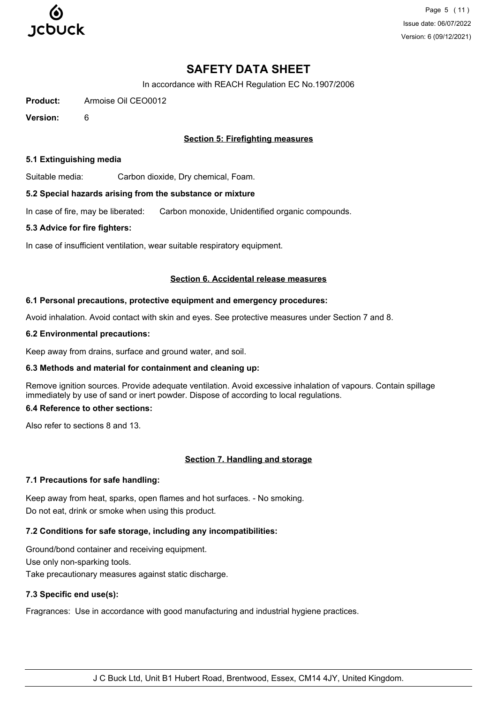

Page 5 (11) Issue date: 06/07/2022 Version: 6 (09/12/2021)

## **SAFETY DATA SHEET**

In accordance with REACH Regulation EC No.1907/2006

**Product:** Armoise Oil CEO0012

**Version:** 6

## **Section 5: Firefighting measures**

#### **5.1 Extinguishing media**

Suitable media: Carbon dioxide, Dry chemical, Foam.

#### **5.2 Special hazards arising from the substance or mixture**

In case of fire, may be liberated: Carbon monoxide, Unidentified organic compounds.

#### **5.3 Advice for fire fighters:**

In case of insufficient ventilation, wear suitable respiratory equipment.

#### **Section 6. Accidental release measures**

#### **6.1 Personal precautions, protective equipment and emergency procedures:**

Avoid inhalation. Avoid contact with skin and eyes. See protective measures under Section 7 and 8.

#### **6.2 Environmental precautions:**

Keep away from drains, surface and ground water, and soil.

## **6.3 Methods and material for containment and cleaning up:**

Remove ignition sources. Provide adequate ventilation. Avoid excessive inhalation of vapours. Contain spillage immediately by use of sand or inert powder. Dispose of according to local regulations.

## **6.4 Reference to other sections:**

Also refer to sections 8 and 13.

## **Section 7. Handling and storage**

## **7.1 Precautions for safe handling:**

Keep away from heat, sparks, open flames and hot surfaces. - No smoking. Do not eat, drink or smoke when using this product.

## **7.2 Conditions for safe storage, including any incompatibilities:**

Ground/bond container and receiving equipment.

Use only non-sparking tools.

Take precautionary measures against static discharge.

## **7.3 Specific end use(s):**

Fragrances: Use in accordance with good manufacturing and industrial hygiene practices.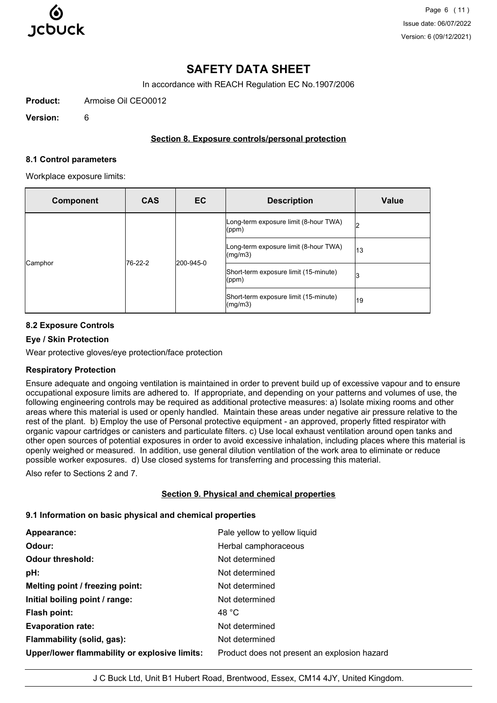

# **SAFETY DATA SHEET**

In accordance with REACH Regulation EC No.1907/2006

**Product:** Armoise Oil CEO0012

**Version:** 6

## **Section 8. Exposure controls/personal protection**

#### **8.1 Control parameters**

Workplace exposure limits:

| <b>Component</b>   | <b>CAS</b> | EC                                                 | <b>Description</b>                                                    | <b>Value</b> |
|--------------------|------------|----------------------------------------------------|-----------------------------------------------------------------------|--------------|
|                    |            |                                                    | [Long-term exposure limit (8-hour TWA)<br>$ $ (ppm)                   | Iっ<br>▵      |
|                    |            |                                                    | Long-term exposure limit (8-hour TWA)<br>$\left(\frac{mg}{m3}\right)$ | 13           |
| 76-22-2<br>Camphor | 200-945-0  | Short-term exposure limit (15-minute)<br>$ $ (ppm) | 3                                                                     |              |
|                    |            |                                                    | Short-term exposure limit (15-minute)<br>$\frac{mq}{m3}$              | 19           |

## **8.2 Exposure Controls**

## **Eye / Skin Protection**

Wear protective gloves/eye protection/face protection

## **Respiratory Protection**

Ensure adequate and ongoing ventilation is maintained in order to prevent build up of excessive vapour and to ensure occupational exposure limits are adhered to. If appropriate, and depending on your patterns and volumes of use, the following engineering controls may be required as additional protective measures: a) Isolate mixing rooms and other areas where this material is used or openly handled. Maintain these areas under negative air pressure relative to the rest of the plant. b) Employ the use of Personal protective equipment - an approved, properly fitted respirator with organic vapour cartridges or canisters and particulate filters. c) Use local exhaust ventilation around open tanks and other open sources of potential exposures in order to avoid excessive inhalation, including places where this material is openly weighed or measured. In addition, use general dilution ventilation of the work area to eliminate or reduce possible worker exposures. d) Use closed systems for transferring and processing this material.

Also refer to Sections 2 and 7.

## **Section 9. Physical and chemical properties**

## **9.1 Information on basic physical and chemical properties**

| Appearance:                                   | Pale yellow to yellow liquid                 |
|-----------------------------------------------|----------------------------------------------|
| Odour:                                        | Herbal camphoraceous                         |
| <b>Odour threshold:</b>                       | Not determined                               |
| pH:                                           | Not determined                               |
| Melting point / freezing point:               | Not determined                               |
| Initial boiling point / range:                | Not determined                               |
| Flash point:                                  | 48 °C                                        |
| <b>Evaporation rate:</b>                      | Not determined                               |
| Flammability (solid, gas):                    | Not determined                               |
| Upper/lower flammability or explosive limits: | Product does not present an explosion hazard |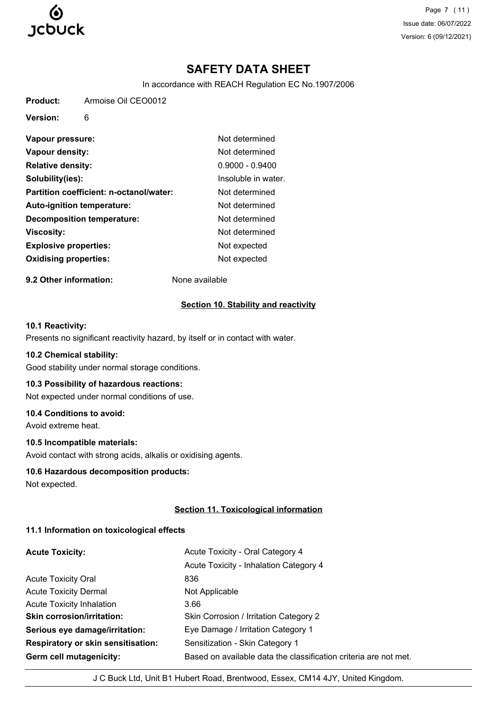

Page 7 (11) Issue date: 06/07/2022 Version: 6 (09/12/2021)

# **SAFETY DATA SHEET**

In accordance with REACH Regulation EC No.1907/2006

**Product:** Armoise Oil CEO0012

**Version:** 6

| Vapour pressure:                        | Not determined      |
|-----------------------------------------|---------------------|
| Vapour density:                         | Not determined      |
| <b>Relative density:</b>                | $0.9000 - 0.9400$   |
| Solubility(ies):                        | Insoluble in water. |
| Partition coefficient: n-octanol/water: | Not determined      |
| <b>Auto-ignition temperature:</b>       | Not determined      |
| <b>Decomposition temperature:</b>       | Not determined      |
| <b>Viscosity:</b>                       | Not determined      |
| <b>Explosive properties:</b>            | Not expected        |
| <b>Oxidising properties:</b>            | Not expected        |

**9.2 Other information:** None available

#### **Section 10. Stability and reactivity**

## **10.1 Reactivity:**

Presents no significant reactivity hazard, by itself or in contact with water.

#### **10.2 Chemical stability:**

Good stability under normal storage conditions.

#### **10.3 Possibility of hazardous reactions:**

Not expected under normal conditions of use.

#### **10.4 Conditions to avoid:**

Avoid extreme heat.

#### **10.5 Incompatible materials:**

Avoid contact with strong acids, alkalis or oxidising agents.

#### **10.6 Hazardous decomposition products:**

Not expected.

## **Section 11. Toxicological information**

## **11.1 Information on toxicological effects**

| <b>Acute Toxicity:</b>                    | Acute Toxicity - Oral Category 4                                 |
|-------------------------------------------|------------------------------------------------------------------|
|                                           | Acute Toxicity - Inhalation Category 4                           |
| <b>Acute Toxicity Oral</b>                | 836                                                              |
| <b>Acute Toxicity Dermal</b>              | Not Applicable                                                   |
| <b>Acute Toxicity Inhalation</b>          | 3.66                                                             |
| <b>Skin corrosion/irritation:</b>         | Skin Corrosion / Irritation Category 2                           |
| Serious eye damage/irritation:            | Eye Damage / Irritation Category 1                               |
| <b>Respiratory or skin sensitisation:</b> | Sensitization - Skin Category 1                                  |
| Germ cell mutagenicity:                   | Based on available data the classification criteria are not met. |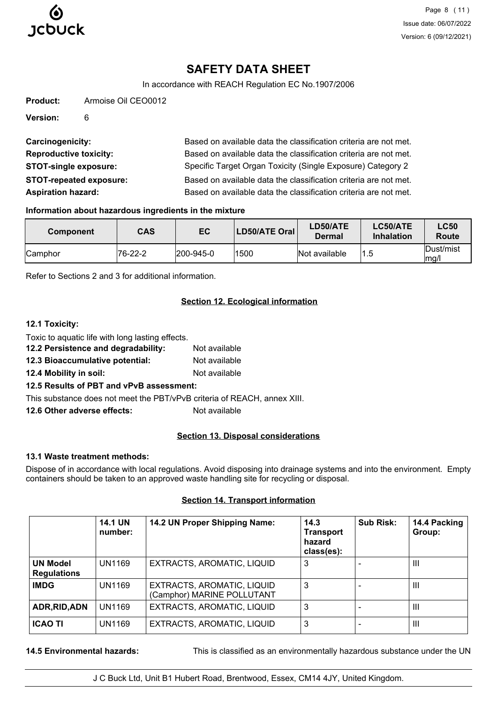

# **SAFETY DATA SHEET**

In accordance with REACH Regulation EC No.1907/2006

| Product: | Armoise Oil CEO0012 |  |
|----------|---------------------|--|
|          |                     |  |

**Version:** 6

| Carcinogenicity:               | Based on available data the classification criteria are not met. |
|--------------------------------|------------------------------------------------------------------|
| <b>Reproductive toxicity:</b>  | Based on available data the classification criteria are not met. |
| <b>STOT-single exposure:</b>   | Specific Target Organ Toxicity (Single Exposure) Category 2      |
| <b>STOT-repeated exposure:</b> | Based on available data the classification criteria are not met. |
| <b>Aspiration hazard:</b>      | Based on available data the classification criteria are not met. |

#### **Information about hazardous ingredients in the mixture**

| <b>Component</b> | <b>CAS</b> | EC                | LD50/ATE Oral | LD50/ATE<br>Dermal | LC50/ATE<br><b>Inhalation</b> | <b>LC50</b><br>Route |
|------------------|------------|-------------------|---------------|--------------------|-------------------------------|----------------------|
| Camphor          | 76-22-2    | $ 200 - 945 - 0 $ | 1500          | Not available      | '1.5                          | Dust/mist<br>mq/l    |

Refer to Sections 2 and 3 for additional information.

## **Section 12. Ecological information**

## **12.1 Toxicity:**

| Toxic to aquatic life with long lasting effects. |               |
|--------------------------------------------------|---------------|
| 12.2 Persistence and degradability:              | Not available |
|                                                  |               |

- **12.3 Bioaccumulative potential:** Not available
- **12.4 Mobility in soil:** Not available

## **12.5 Results of PBT and vPvB assessment:**

This substance does not meet the PBT/vPvB criteria of REACH, annex XIII.

**12.6 Other adverse effects:** Not available

## **Section 13. Disposal considerations**

## **13.1 Waste treatment methods:**

Dispose of in accordance with local regulations. Avoid disposing into drainage systems and into the environment. Empty containers should be taken to an approved waste handling site for recycling or disposal.

## **Section 14. Transport information**

|                                       | <b>14.1 UN</b><br>number: | 14.2 UN Proper Shipping Name:                            | 14.3<br><b>Transport</b><br>hazard<br>class(es): | Sub Risk:      | 14.4 Packing<br>Group: |
|---------------------------------------|---------------------------|----------------------------------------------------------|--------------------------------------------------|----------------|------------------------|
| <b>UN Model</b><br><b>Regulations</b> | UN1169                    | EXTRACTS, AROMATIC, LIQUID                               | 3                                                | $\blacksquare$ | $\mathbf{III}$         |
| <b>IMDG</b>                           | UN1169                    | EXTRACTS, AROMATIC, LIQUID<br>(Camphor) MARINE POLLUTANT | 3                                                |                | Ш                      |
| ADR, RID, ADN                         | UN1169                    | EXTRACTS, AROMATIC, LIQUID                               | 3                                                |                | $\mathbf{III}$         |
| <b>ICAO TI</b>                        | UN1169                    | EXTRACTS, AROMATIC, LIQUID                               | 3                                                |                | $\mathbf{III}$         |

**14.5 Environmental hazards:** This is classified as an environmentally hazardous substance under the UN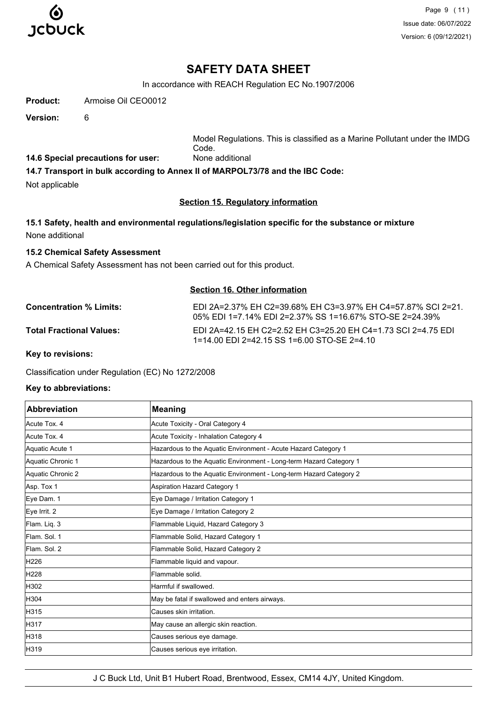

Page 9 (11) Issue date: 06/07/2022 Version: 6 (09/12/2021)

## **SAFETY DATA SHEET**

In accordance with REACH Regulation EC No.1907/2006

**Product:** Armoise Oil CEO0012

**Version:** 6

Model Regulations. This is classified as a Marine Pollutant under the IMDG Code.

**14.6 Special precautions for user:** None additional

**14.7 Transport in bulk according to Annex II of MARPOL73/78 and the IBC Code:**

Not applicable

## **Section 15. Regulatory information**

## **15.1 Safety, health and environmental regulations/legislation specific for the substance or mixture** None additional

#### **15.2 Chemical Safety Assessment**

A Chemical Safety Assessment has not been carried out for this product.

#### **Section 16. Other information**

**Concentration % Limits:** EDI 2A=2.37% EH C2=39.68% EH C3=3.97% EH C4=57.87% SCI 2=21. 05% EDI 1=7.14% EDI 2=2.37% SS 1=16.67% STO-SE 2=24.39% **Total Fractional Values:** EDI 2A=42.15 EH C2=2.52 EH C3=25.20 EH C4=1.73 SCI 2=4.75 EDI 1=14.00 EDI 2=42.15 SS 1=6.00 STO-SE 2=4.10

**Key to revisions:**

Classification under Regulation (EC) No 1272/2008

#### **Key to abbreviations:**

| <b>Abbreviation</b> | <b>Meaning</b>                                                     |  |
|---------------------|--------------------------------------------------------------------|--|
| Acute Tox. 4        | Acute Toxicity - Oral Category 4                                   |  |
| Acute Tox. 4        | Acute Toxicity - Inhalation Category 4                             |  |
| Aquatic Acute 1     | Hazardous to the Aquatic Environment - Acute Hazard Category 1     |  |
| Aquatic Chronic 1   | Hazardous to the Aquatic Environment - Long-term Hazard Category 1 |  |
| Aquatic Chronic 2   | Hazardous to the Aquatic Environment - Long-term Hazard Category 2 |  |
| Asp. Tox 1          | <b>Aspiration Hazard Category 1</b>                                |  |
| Eye Dam. 1          | Eye Damage / Irritation Category 1                                 |  |
| Eye Irrit. 2        | Eye Damage / Irritation Category 2                                 |  |
| Flam. Liq. 3        | Flammable Liquid, Hazard Category 3                                |  |
| Flam, Sol. 1        | Flammable Solid, Hazard Category 1                                 |  |
| Flam, Sol. 2        | Flammable Solid, Hazard Category 2                                 |  |
| H226                | Flammable liquid and vapour.                                       |  |
| H228                | Flammable solid.                                                   |  |
| H302                | Harmful if swallowed.                                              |  |
| H304                | May be fatal if swallowed and enters airways.                      |  |
| H315                | Causes skin irritation.                                            |  |
| H317                | May cause an allergic skin reaction.                               |  |
| H318                | Causes serious eye damage.                                         |  |
| H319                | Causes serious eye irritation.                                     |  |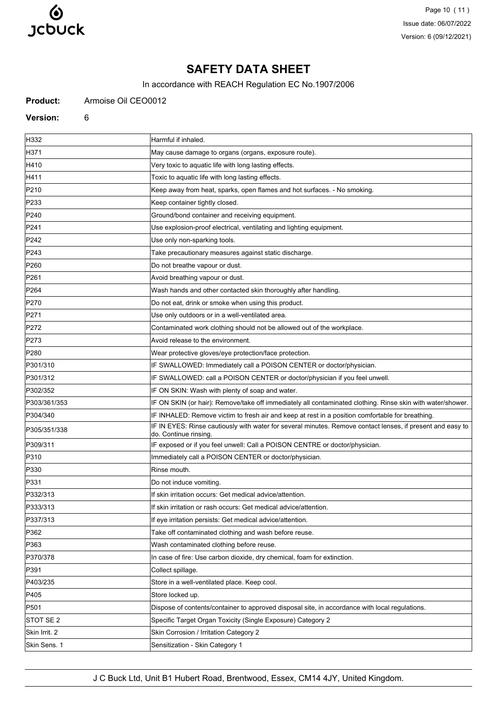

Page 10 (11) Issue date: 06/07/2022 Version: 6 (09/12/2021)

## **SAFETY DATA SHEET**

In accordance with REACH Regulation EC No.1907/2006

**Product:** Armoise Oil CEO0012

**Version:** 6

H332 Harmful if inhaled. H371 May cause damage to organs (organs, exposure route). H410 **Very toxic to aquatic life with long lasting effects.** H411 **Toxic to aquatic life with long lasting effects**. P210 Keep away from heat, sparks, open flames and hot surfaces. - No smoking. P233 Reep container tightly closed. P240 **Ground/bond container and receiving equipment** P241 Use explosion-proof electrical, ventilating and lighting equipment. P242 **P242 Example 242** Use only non-sparking tools. P243 Take precautionary measures against static discharge. P260 **Do not breathe vapour or dust.** Do not breathe vapour or dust. P261 **P261 Avoid breathing vapour or dust.** P264 Wash hands and other contacted skin thoroughly after handling. P270 **Do not eat, drink or smoke when using this product.** P271 **P271 Example 20** Use only outdoors or in a well-ventilated area. P272 Contaminated work clothing should not be allowed out of the workplace. P273 **Avoid release to the environment.** P280 Wear protective gloves/eye protection/face protection. P301/310 **IF SWALLOWED:** Immediately call a POISON CENTER or doctor/physician. P301/312 **IF SWALLOWED: call a POISON CENTER or doctor/physician if you feel unwell.** P302/352 **IF ON SKIN: Wash with plenty of soap and water.** P303/361/353 **IF ON SKIN (or hair): Remove/take off immediately all contaminated clothing. Rinse skin with water/shower.** P304/340 **IF INHALED: Remove victim to fresh air and keep at rest in a position comfortable for breathing.** P305/351/338 **IF IN EYES: Rinse cautiously with water for several minutes. Remove contact lenses, if present and easy to** do. Continue rinsing. P309/311 IF exposed or if you feel unwell: Call a POISON CENTRE or doctor/physician. P310 **Immediately call a POISON CENTER or doctor/physician.** P330 Rinse mouth P331 **Do not induce vomiting.** P332/313 If skin irritation occurs: Get medical advice/attention. P333/313 If skin irritation or rash occurs: Get medical advice/attention. P337/313 **If eye irritation persists: Get medical advice/attention.** P362 Take off contaminated clothing and wash before reuse. P363 Wash contaminated clothing before reuse. P370/378 In case of fire: Use carbon dioxide, dry chemical, foam for extinction. P391 Collect spillage. P403/235 Store in a well-ventilated place. Keep cool. **P405** Store locked up. P501 Dispose of contents/container to approved disposal site, in accordance with local regulations. STOT SE 2 Specific Target Organ Toxicity (Single Exposure) Category 2 Skin Irrit. 2 Skin Corrosion / Irritation Category 2 Skin Sens. 1 Sensitization - Skin Category 1